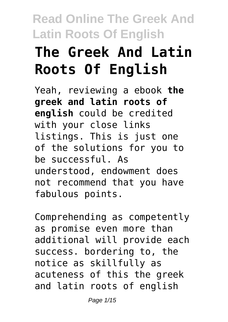# **The Greek And Latin Roots Of English**

Yeah, reviewing a ebook **the greek and latin roots of english** could be credited with your close links listings. This is just one of the solutions for you to be successful. As understood, endowment does not recommend that you have fabulous points.

Comprehending as competently as promise even more than additional will provide each success. bordering to, the notice as skillfully as acuteness of this the greek and latin roots of english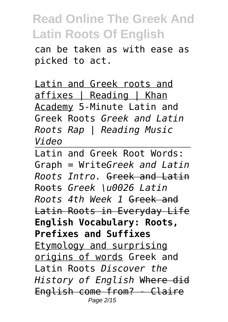can be taken as with ease as picked to act.

Latin and Greek roots and affixes | Reading | Khan Academy 5-Minute Latin and Greek Roots *Greek and Latin Roots Rap | Reading Music Video*

Latin and Greek Root Words: Graph = Write*Greek and Latin Roots Intro.* Greek and Latin Roots *Greek \u0026 Latin Roots 4th Week 1* Greek and Latin Roots in Everyday Life **English Vocabulary: Roots, Prefixes and Suffixes** Etymology and surprising origins of words Greek and Latin Roots *Discover the History of English* Where did English come from? - Claire Page 2/15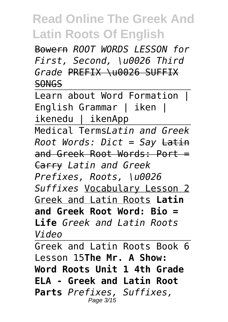Bowern *ROOT WORDS LESSON for First, Second, \u0026 Third Grade* PREFIX \u0026 SUFFIX SONGS

Learn about Word Formation I English Grammar | iken | ikenedu | ikenApp

Medical Terms*Latin and Greek Root Words: Dict = Say* Latin and Greek Root Words: Port = Carry *Latin and Greek Prefixes, Roots, \u0026 Suffixes* Vocabulary Lesson 2 Greek and Latin Roots **Latin and Greek Root Word: Bio = Life** *Greek and Latin Roots Video*

Greek and Latin Roots Book 6 Lesson 15**The Mr. A Show: Word Roots Unit 1 4th Grade ELA - Greek and Latin Root Parts** *Prefixes, Suffixes,* Page 3/15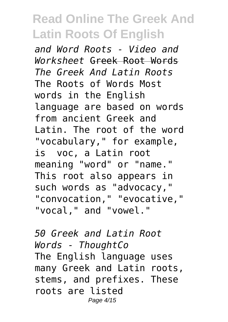*and Word Roots - Video and Worksheet* Greek Root Words *The Greek And Latin Roots* The Roots of Words Most words in the English language are based on words from ancient Greek and Latin. The root of the word "vocabulary," for example, is voc, a Latin root meaning "word" or "name." This root also appears in such words as "advocacy," "convocation," "evocative," "vocal," and "vowel."

*50 Greek and Latin Root Words - ThoughtCo* The English language uses many Greek and Latin roots, stems, and prefixes. These roots are listed Page 4/15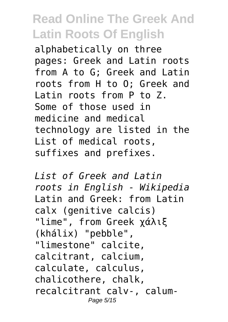alphabetically on three pages: Greek and Latin roots from A to G; Greek and Latin roots from H to O; Greek and Latin roots from P to Z. Some of those used in medicine and medical technology are listed in the List of medical roots, suffixes and prefixes.

*List of Greek and Latin roots in English - Wikipedia* Latin and Greek: from Latin calx (genitive calcis) "lime", from Greek χάλιξ (khálix) "pebble", "limestone" calcite, calcitrant, calcium, calculate, calculus, chalicothere, chalk, recalcitrant calv-, calum-Page 5/15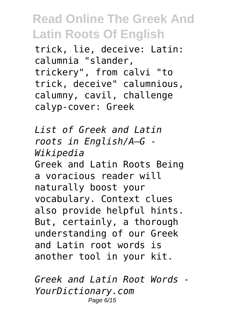trick, lie, deceive: Latin: calumnia "slander, trickery", from calvi "to trick, deceive" calumnious, calumny, cavil, challenge calyp-cover: Greek

*List of Greek and Latin roots in English/A–G - Wikipedia* Greek and Latin Roots Being a voracious reader will naturally boost your vocabulary. Context clues also provide helpful hints. But, certainly, a thorough understanding of our Greek and Latin root words is another tool in your kit.

*Greek and Latin Root Words - YourDictionary.com* Page 6/15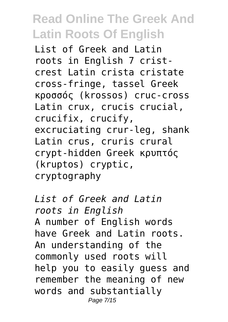List of Greek and Latin roots in English 7 cristcrest Latin crista cristate cross-fringe, tassel Greek κροσσός (krossos) cruc-cross Latin crux, crucis crucial, crucifix, crucify, excruciating crur-leg, shank Latin crus, cruris crural crypt-hidden Greek κρυπτός (kruptos) cryptic, cryptography

*List of Greek and Latin roots in English* A number of English words have Greek and Latin roots. An understanding of the commonly used roots will help you to easily guess and remember the meaning of new words and substantially Page 7/15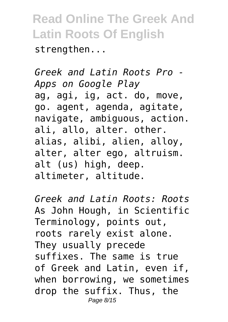strengthen...

*Greek and Latin Roots Pro - Apps on Google Play* ag, agi, ig, act. do, move, go. agent, agenda, agitate, navigate, ambiguous, action. ali, allo, alter. other. alias, alibi, alien, alloy, alter, alter ego, altruism. alt (us) high, deep. altimeter, altitude.

*Greek and Latin Roots: Roots* As John Hough, in Scientific Terminology, points out, roots rarely exist alone. They usually precede suffixes. The same is true of Greek and Latin, even if, when borrowing, we sometimes drop the suffix. Thus, the Page 8/15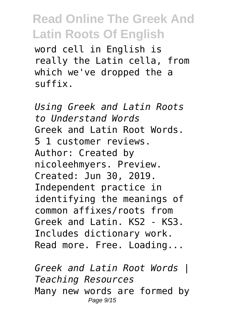word cell in English is really the Latin cella, from which we've dropped the a suffix.

*Using Greek and Latin Roots to Understand Words* Greek and Latin Root Words. 5 1 customer reviews. Author: Created by nicoleehmyers. Preview. Created: Jun 30, 2019. Independent practice in identifying the meanings of common affixes/roots from Greek and Latin. KS2 - KS3. Includes dictionary work. Read more. Free. Loading...

*Greek and Latin Root Words | Teaching Resources* Many new words are formed by Page 9/15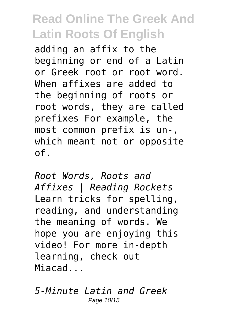adding an affix to the beginning or end of a Latin or Greek root or root word. When affixes are added to the beginning of roots or root words, they are called prefixes For example, the most common prefix is un-, which meant not or opposite of.

*Root Words, Roots and Affixes | Reading Rockets* Learn tricks for spelling, reading, and understanding the meaning of words. We hope you are enjoying this video! For more in-depth learning, check out Miacad...

*5-Minute Latin and Greek* Page 10/15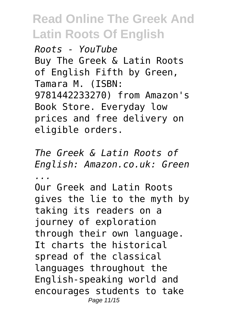*Roots - YouTube* Buy The Greek & Latin Roots of English Fifth by Green, Tamara M. (ISBN: 9781442233270) from Amazon's Book Store. Everyday low prices and free delivery on eligible orders.

*The Greek & Latin Roots of English: Amazon.co.uk: Green ...*

Our Greek and Latin Roots gives the lie to the myth by taking its readers on a journey of exploration through their own language. It charts the historical spread of the classical languages throughout the English-speaking world and encourages students to take Page 11/15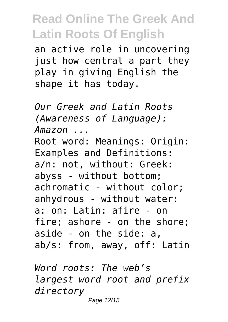an active role in uncovering just how central a part they play in giving English the shape it has today.

*Our Greek and Latin Roots (Awareness of Language): Amazon ...* Root word: Meanings: Origin: Examples and Definitions: a/n: not, without: Greek: abyss - without bottom; achromatic - without color; anhydrous - without water: a: on: Latin: afire - on fire; ashore - on the shore; aside - on the side: a, ab/s: from, away, off: Latin

*Word roots: The web's largest word root and prefix directory* Page 12/15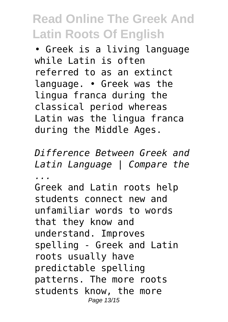• Greek is a living language while Latin is often referred to as an extinct language. • Greek was the lingua franca during the classical period whereas Latin was the lingua franca during the Middle Ages.

*Difference Between Greek and Latin Language | Compare the ...*

Greek and Latin roots help students connect new and unfamiliar words to words that they know and understand. Improves spelling - Greek and Latin roots usually have predictable spelling patterns. The more roots students know, the more Page 13/15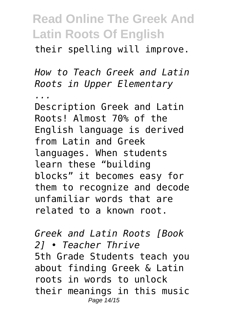their spelling will improve.

*How to Teach Greek and Latin Roots in Upper Elementary*

*...* Description Greek and Latin Roots! Almost 70% of the English language is derived from Latin and Greek languages. When students learn these "building blocks" it becomes easy for them to recognize and decode unfamiliar words that are related to a known root.

*Greek and Latin Roots [Book 2] • Teacher Thrive* 5th Grade Students teach you about finding Greek & Latin roots in words to unlock their meanings in this music Page 14/15